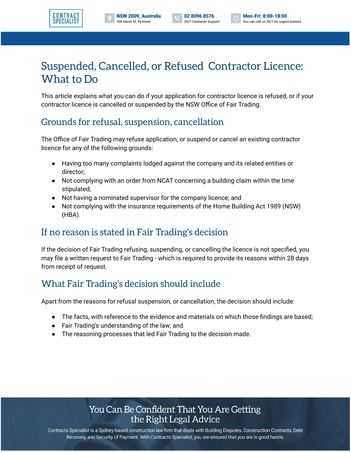



# Suspended, Cancelled, or Refused Contractor Licence: What to Do

This article explains what you can do if your application for contractor licence is refused, or if your contractor licence is cancelled or suspended by the NSW Office of Fair Trading.

### Grounds for refusal, suspension, cancellation

The Office of Fair Trading may refuse application, or suspend or cancel an existing contractor licence for any of the following grounds:

- Having too many complaints lodged against the company and its related entities or director;
- Not complying with an order from NCAT concerning a building claim within the time stipulated;
- Not having a nominated supervisor for the company licence; and
- Not complying with the insurance requirements of the Home Building Act 1989 (NSW) (HBA).

# If no reason is stated in Fair Trading's decision

If the decision of Fair Trading refusing, suspending, or cancelling the licence is not specified, you may file a written request to Fair Trading - which is required to provide its reasons within 28 days from receipt of request.

## What Fair Trading's decision should include

Apart from the reasons for refusal suspension, or cancellation, the decision should include:

- The facts, with reference to the evidence and materials on which those findings are based;
- Fair Trading's understanding of the law; and
- The reasoning processes that led Fair Trading to the decision made.

#### You Can Be Confident That You Are Getting the Right Legal Advice

Contracts Specialist is a Sydney-based construction law firm that deals with Building Disputes, Construction Contracts, Debt Recovery, and Security of Payment. With Contracts Specialist, you are ensured that you are in good hands.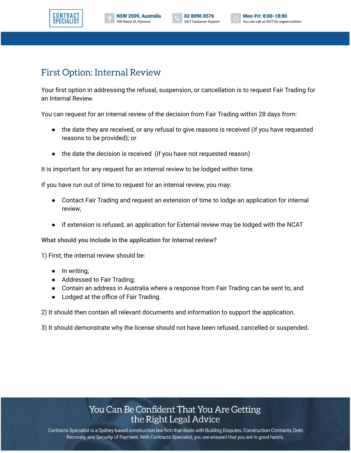



### First Option: Internal Review

Your first option in addressing the refusal, suspension, or cancellation is to request Fair Trading for an Internal Review.

You can request for an internal review of the decision from Fair Trading within 28 days from:

- the date they are received, or any refusal to give reasons is received (if you have requested reasons to be provided); or
- the date the decision is received (if you have not requested reason)

It is important for any request for an internal review to be lodged within time.

If you have run out of time to request for an internal review, you may:

- Contact Fair Trading and request an extension of time to lodge an application for internal review;
- If extension is refused, an application for External review may be lodged with the NCAT

**What should you include in the application for internal review?**

1) First, the internal review should be:

- In writing;
- Addressed to Fair Trading;
- Contain an address in Australia where a response from Fair Trading can be sent to; and
- Lodged at the office of Fair Trading.

2) It should then contain all relevant documents and information to support the application.

3) It should demonstrate why the license should not have been refused, cancelled or suspended.

#### You Can Be Confident That You Are Getting the Right Legal Advice

Contracts Specialist is a Sydney-based construction law firm that deals with Building Disputes, Construction Contracts, Debt Recovery, and Security of Payment. With Contracts Specialist, you are ensured that you are in good hands.